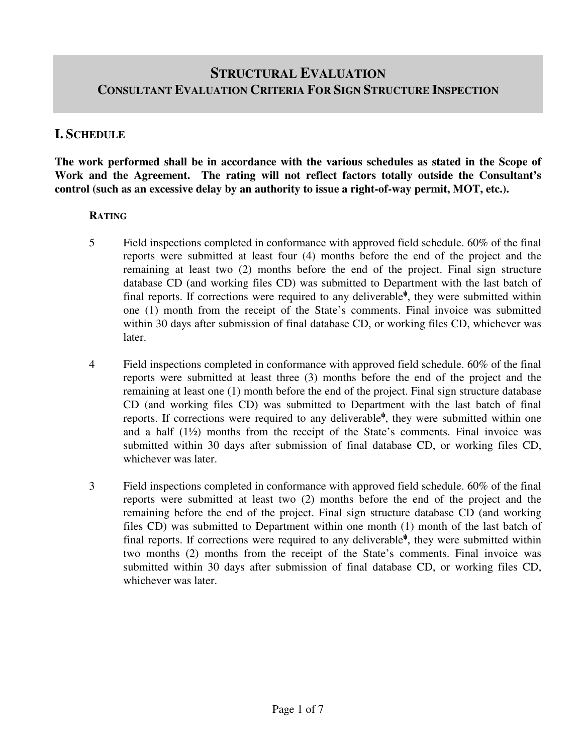# **STRUCTURAL EVALUATION CONSULTANT EVALUATION CRITERIA FOR SIGN STRUCTURE INSPECTION**

### **I. SCHEDULE**

**The work performed shall be in accordance with the various schedules as stated in the Scope of Work and the Agreement. The rating will not reflect factors totally outside the Consultant's control (such as an excessive delay by an authority to issue a right-of-way permit, MOT, etc.).** 

#### **RATING**

- 5 Field inspections completed in conformance with approved field schedule. 60% of the final reports were submitted at least four (4) months before the end of the project and the remaining at least two (2) months before the end of the project. Final sign structure database CD (and working files CD) was submitted to Department with the last batch of final reports. If corrections were required to any deliverable<sup> $\psi$ </sup>, they were submitted within one (1) month from the receipt of the State's comments. Final invoice was submitted within 30 days after submission of final database CD, or working files CD, whichever was later.
- 4 Field inspections completed in conformance with approved field schedule. 60% of the final reports were submitted at least three (3) months before the end of the project and the remaining at least one (1) month before the end of the project. Final sign structure database CD (and working files CD) was submitted to Department with the last batch of final reports. If corrections were required to any deliverable<sup>ψ</sup>, they were submitted within one and a half  $(1\frac{1}{2})$  months from the receipt of the State's comments. Final invoice was submitted within 30 days after submission of final database CD, or working files CD, whichever was later.
- 3 Field inspections completed in conformance with approved field schedule. 60% of the final reports were submitted at least two (2) months before the end of the project and the remaining before the end of the project. Final sign structure database CD (and working files CD) was submitted to Department within one month (1) month of the last batch of final reports. If corrections were required to any deliverable<sup> $\psi$ </sup>, they were submitted within two months (2) months from the receipt of the State's comments. Final invoice was submitted within 30 days after submission of final database CD, or working files CD, whichever was later.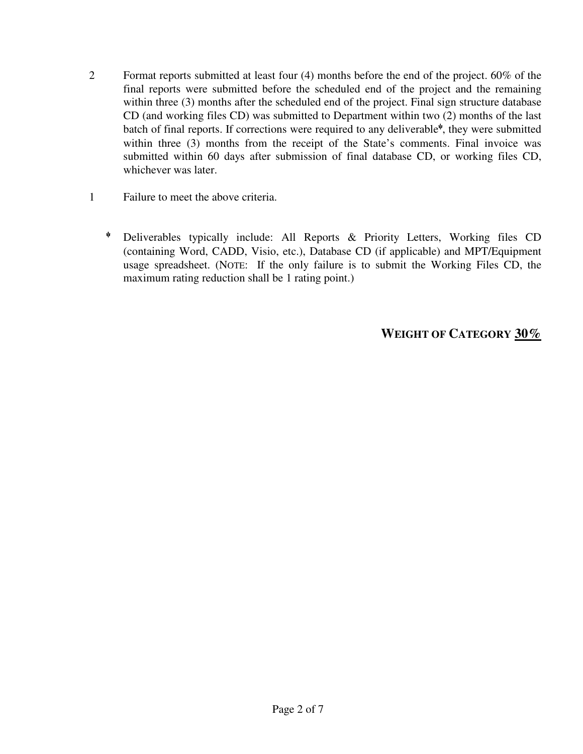- 2 Format reports submitted at least four (4) months before the end of the project. 60% of the final reports were submitted before the scheduled end of the project and the remaining within three (3) months after the scheduled end of the project. Final sign structure database CD (and working files CD) was submitted to Department within two (2) months of the last batch of final reports. If corrections were required to any deliverable $\psi$ , they were submitted within three (3) months from the receipt of the State's comments. Final invoice was submitted within 60 days after submission of final database CD, or working files CD, whichever was later.
- 1 Failure to meet the above criteria.
	- <sup>ψ</sup> Deliverables typically include: All Reports & Priority Letters, Working files CD (containing Word, CADD, Visio, etc.), Database CD (if applicable) and MPT/Equipment usage spreadsheet. (NOTE: If the only failure is to submit the Working Files CD, the maximum rating reduction shall be 1 rating point.)

# **WEIGHT OF CATEGORY 30%**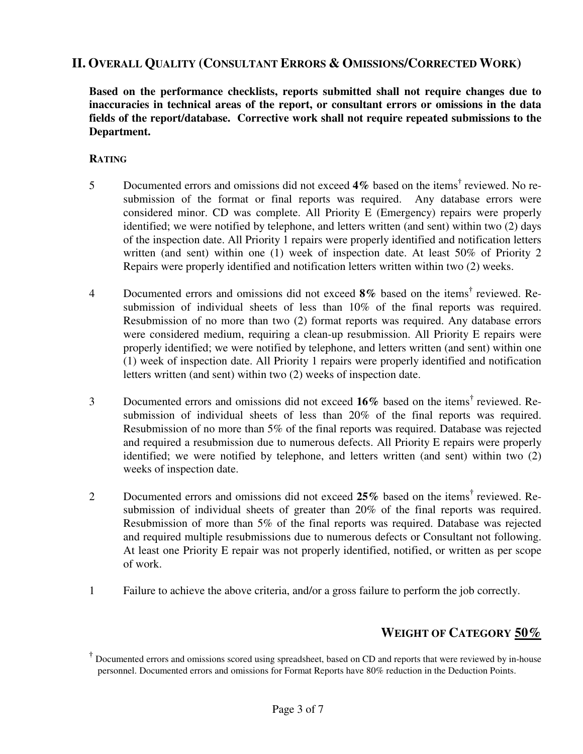## **II. OVERALL QUALITY (CONSULTANT ERRORS & OMISSIONS/CORRECTED WORK)**

**Based on the performance checklists, reports submitted shall not require changes due to inaccuracies in technical areas of the report, or consultant errors or omissions in the data fields of the report/database. Corrective work shall not require repeated submissions to the Department.** 

#### **RATING**

- 5 Documented errors and omissions did not exceed 4% based on the items<sup>†</sup> reviewed. No resubmission of the format or final reports was required. Any database errors were considered minor. CD was complete. All Priority E (Emergency) repairs were properly identified; we were notified by telephone, and letters written (and sent) within two (2) days of the inspection date. All Priority 1 repairs were properly identified and notification letters written (and sent) within one (1) week of inspection date. At least 50% of Priority 2 Repairs were properly identified and notification letters written within two (2) weeks.
- 4 Documented errors and omissions did not exceed 8% based on the items<sup>†</sup> reviewed. Resubmission of individual sheets of less than 10% of the final reports was required. Resubmission of no more than two (2) format reports was required. Any database errors were considered medium, requiring a clean-up resubmission. All Priority E repairs were properly identified; we were notified by telephone, and letters written (and sent) within one (1) week of inspection date. All Priority 1 repairs were properly identified and notification letters written (and sent) within two (2) weeks of inspection date.
- 3 Documented errors and omissions did not exceed 16% based on the items<sup>†</sup> reviewed. Resubmission of individual sheets of less than 20% of the final reports was required. Resubmission of no more than 5% of the final reports was required. Database was rejected and required a resubmission due to numerous defects. All Priority E repairs were properly identified; we were notified by telephone, and letters written (and sent) within two (2) weeks of inspection date.
- 2 Documented errors and omissions did not exceed 25% based on the items<sup>†</sup> reviewed. Resubmission of individual sheets of greater than 20% of the final reports was required. Resubmission of more than 5% of the final reports was required. Database was rejected and required multiple resubmissions due to numerous defects or Consultant not following. At least one Priority E repair was not properly identified, notified, or written as per scope of work.
- 1 Failure to achieve the above criteria, and/or a gross failure to perform the job correctly.

## **WEIGHT OF CATEGORY 50%**

**<sup>†</sup>** Documented errors and omissions scored using spreadsheet, based on CD and reports that were reviewed by in-house personnel. Documented errors and omissions for Format Reports have 80% reduction in the Deduction Points.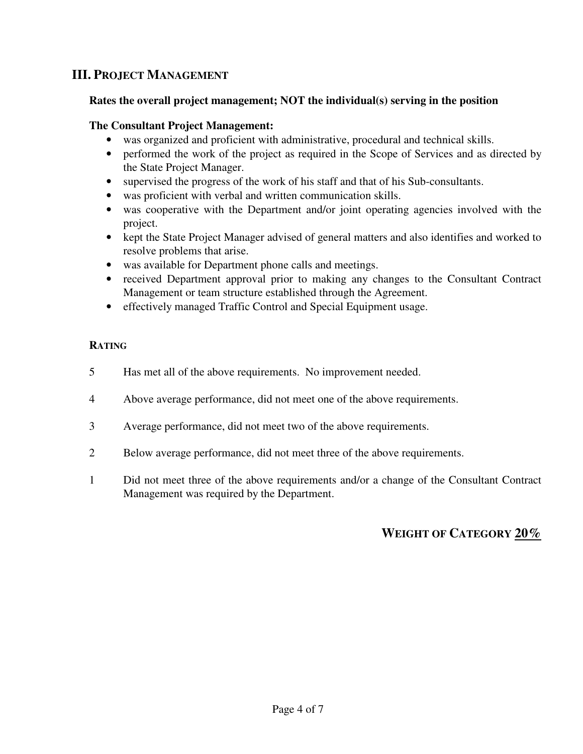# **III. PROJECT MANAGEMENT**

#### **Rates the overall project management; NOT the individual(s) serving in the position**

#### **The Consultant Project Management:**

- was organized and proficient with administrative, procedural and technical skills.
- performed the work of the project as required in the Scope of Services and as directed by the State Project Manager.
- supervised the progress of the work of his staff and that of his Sub-consultants.
- was proficient with verbal and written communication skills.
- was cooperative with the Department and/or joint operating agencies involved with the project.
- kept the State Project Manager advised of general matters and also identifies and worked to resolve problems that arise.
- was available for Department phone calls and meetings.
- received Department approval prior to making any changes to the Consultant Contract Management or team structure established through the Agreement.
- effectively managed Traffic Control and Special Equipment usage.

### **RATING**

- 5 Has met all of the above requirements. No improvement needed.
- 4 Above average performance, did not meet one of the above requirements.
- 3 Average performance, did not meet two of the above requirements.
- 2 Below average performance, did not meet three of the above requirements.
- 1 Did not meet three of the above requirements and/or a change of the Consultant Contract Management was required by the Department.

# **WEIGHT OF CATEGORY 20%**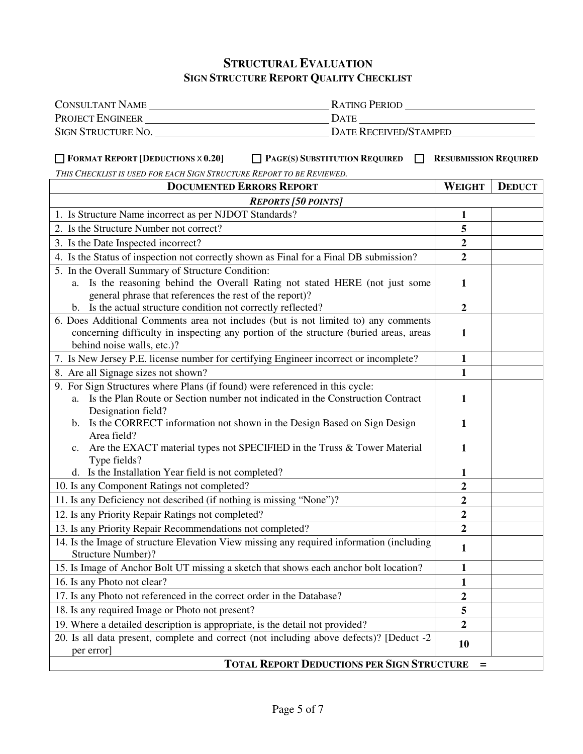# **STRUCTURAL EVALUATION SIGN STRUCTURE REPORT QUALITY CHECKLIST**

| CONSULTANT NAME                                                                                                                                                                                            |                                                                                         |                  |               |
|------------------------------------------------------------------------------------------------------------------------------------------------------------------------------------------------------------|-----------------------------------------------------------------------------------------|------------------|---------------|
|                                                                                                                                                                                                            |                                                                                         |                  |               |
| SIGN STRUCTURE NO.                                                                                                                                                                                         | DATE RECEIVED/STAMPED                                                                   |                  |               |
| $\Box$ FORMAT REPORT [DEDUCTIONS $\times$ 0.20]<br>$\Box$ PAGE(S) SUBSTITUTION REQUIRED<br>$\Box$<br><b>RESUBMISSION REQUIRED</b><br>THIS CHECKLIST IS USED FOR EACH SIGN STRUCTURE REPORT TO BE REVIEWED. |                                                                                         |                  |               |
|                                                                                                                                                                                                            | <b>DOCUMENTED ERRORS REPORT</b>                                                         | <b>WEIGHT</b>    | <b>DEDUCT</b> |
|                                                                                                                                                                                                            | <b>REPORTS</b> [50 POINTS]                                                              |                  |               |
| 1. Is Structure Name incorrect as per NJDOT Standards?                                                                                                                                                     |                                                                                         | $\mathbf{1}$     |               |
| 2. Is the Structure Number not correct?                                                                                                                                                                    |                                                                                         | 5                |               |
| 3. Is the Date Inspected incorrect?                                                                                                                                                                        |                                                                                         | $\boldsymbol{2}$ |               |
| 4. Is the Status of inspection not correctly shown as Final for a Final DB submission?                                                                                                                     |                                                                                         | $\overline{2}$   |               |
| 5. In the Overall Summary of Structure Condition:<br>general phrase that references the rest of the report)?                                                                                               | a. Is the reasoning behind the Overall Rating not stated HERE (not just some            | 1                |               |
| b. Is the actual structure condition not correctly reflected?                                                                                                                                              |                                                                                         | $\boldsymbol{2}$ |               |
| 6. Does Additional Comments area not includes (but is not limited to) any comments<br>concerning difficulty in inspecting any portion of the structure (buried areas, areas<br>behind noise walls, etc.)?  |                                                                                         | $\mathbf{1}$     |               |
| 7. Is New Jersey P.E. license number for certifying Engineer incorrect or incomplete?                                                                                                                      |                                                                                         | $\mathbf{1}$     |               |
| 8. Are all Signage sizes not shown?                                                                                                                                                                        |                                                                                         | $\mathbf{1}$     |               |
| 9. For Sign Structures where Plans (if found) were referenced in this cycle:<br>Designation field?                                                                                                         | a. Is the Plan Route or Section number not indicated in the Construction Contract       | 1                |               |
| Area field?                                                                                                                                                                                                | b. Is the CORRECT information not shown in the Design Based on Sign Design              | 1                |               |
| Type fields?                                                                                                                                                                                               | c. Are the EXACT material types not SPECIFIED in the Truss & Tower Material             | 1                |               |
| d. Is the Installation Year field is not completed?                                                                                                                                                        |                                                                                         | 1                |               |
| 10. Is any Component Ratings not completed?                                                                                                                                                                |                                                                                         | $\boldsymbol{2}$ |               |
| 11. Is any Deficiency not described (if nothing is missing "None")?                                                                                                                                        |                                                                                         | $\boldsymbol{2}$ |               |
| 12. Is any Priority Repair Ratings not completed?                                                                                                                                                          |                                                                                         | $\overline{2}$   |               |
| 13. Is any Priority Repair Recommendations not completed?                                                                                                                                                  |                                                                                         | $\boldsymbol{2}$ |               |
| 14. Is the Image of structure Elevation View missing any required information (including<br>$\mathbf{1}$<br>Structure Number)?                                                                             |                                                                                         |                  |               |
|                                                                                                                                                                                                            | 15. Is Image of Anchor Bolt UT missing a sketch that shows each anchor bolt location?   | 1                |               |
| 16. Is any Photo not clear?                                                                                                                                                                                |                                                                                         | 1                |               |
| 17. Is any Photo not referenced in the correct order in the Database?                                                                                                                                      |                                                                                         | $\boldsymbol{2}$ |               |
| 18. Is any required Image or Photo not present?                                                                                                                                                            |                                                                                         | 5                |               |
| 19. Where a detailed description is appropriate, is the detail not provided?                                                                                                                               |                                                                                         | $\boldsymbol{2}$ |               |
| per error]                                                                                                                                                                                                 | 20. Is all data present, complete and correct (not including above defects)? [Deduct -2 | 10               |               |
| <b>TOTAL REPORT DEDUCTIONS PER SIGN STRUCTURE</b><br>$=$                                                                                                                                                   |                                                                                         |                  |               |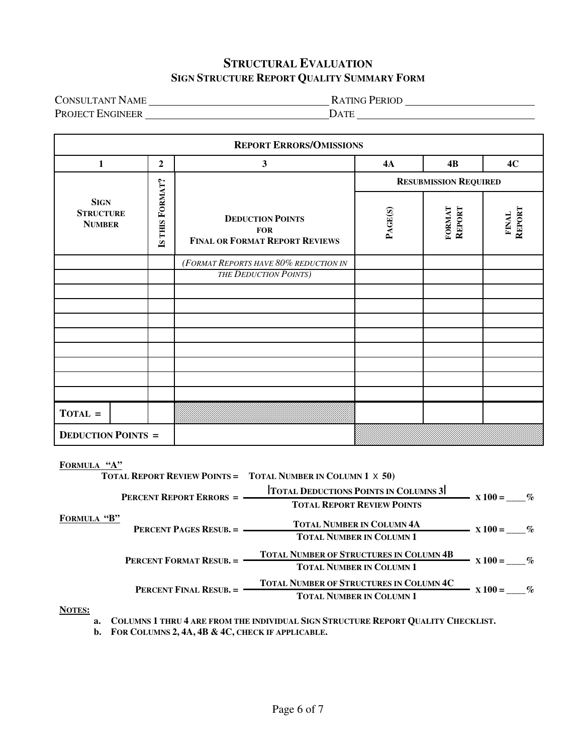### **STRUCTURAL EVALUATION SIGN STRUCTURE REPORT QUALITY SUMMARY FORM**

CONSULTANT NAME RATING PERIOD PROJECT ENGINEER DATE

| <b>REPORT ERRORS/OMISSIONS</b>                   |                  |                                                                                |                              |                  |                 |
|--------------------------------------------------|------------------|--------------------------------------------------------------------------------|------------------------------|------------------|-----------------|
| $\mathbf{1}$                                     | $\boldsymbol{2}$ | $\mathbf{3}$                                                                   | <b>4A</b>                    | 4B               | 4C              |
|                                                  |                  |                                                                                | <b>RESUBMISSION REQUIRED</b> |                  |                 |
| <b>SIGN</b><br><b>STRUCTURE</b><br><b>NUMBER</b> | IS THIS FORMAT?  | <b>DEDUCTION POINTS</b><br><b>FOR</b><br><b>FINAL OR FORMAT REPORT REVIEWS</b> | PAGE(S)                      | FORMAT<br>REPORT | REPORT<br>FINAL |
|                                                  |                  | (FORMAT REPORTS HAVE 80% REDUCTION IN                                          |                              |                  |                 |
|                                                  |                  | <b>THE DEDUCTION POINTS</b> )                                                  |                              |                  |                 |
|                                                  |                  |                                                                                |                              |                  |                 |
|                                                  |                  |                                                                                |                              |                  |                 |
|                                                  |                  |                                                                                |                              |                  |                 |
|                                                  |                  |                                                                                |                              |                  |                 |
|                                                  |                  |                                                                                |                              |                  |                 |
|                                                  |                  |                                                                                |                              |                  |                 |
|                                                  |                  |                                                                                |                              |                  |                 |
| $TOTAL =$                                        |                  |                                                                                |                              |                  |                 |
| <b>DEDUCTION POINTS =</b>                        |                  |                                                                                |                              |                  |                 |

| FORMULA                        |                                 |                                                                    |                           |  |
|--------------------------------|---------------------------------|--------------------------------------------------------------------|---------------------------|--|
|                                |                                 | <b>TOTAL REPORT REVIEW POINTS = TOTAL NUMBER IN COLUMN 1 X 50)</b> |                           |  |
|                                | <b>PERCENT REPORT ERRORS =</b>  | <b>TOTAL DEDUCTIONS POINTS IN COLUMNS 3</b>                        | $- x 100 = %$             |  |
|                                |                                 | <b>TOTAL REPORT REVIEW POINTS</b>                                  |                           |  |
|                                | <b>FORMULA "B"</b>              | <b>TOTAL NUMBER IN COLUMN 4A</b>                                   | $\frac{1}{100}$ x 100 = % |  |
|                                |                                 | <b>TOTAL NUMBER IN COLUMN 1</b>                                    |                           |  |
| <b>PERCENT FORMAT RESUB. =</b> |                                 | <b>TOTAL NUMBER OF STRUCTURES IN COLUMN 4B</b>                     | $X100 = \%$               |  |
|                                | <b>TOTAL NUMBER IN COLUMN 1</b> |                                                                    |                           |  |
|                                | <b>PERCENT FINAL RESUB. =</b>   | <b>TOTAL NUMBER OF STRUCTURES IN COLUMN 4C</b>                     | $X100 = \%$               |  |
|                                |                                 | <b>TOTAL NUMBER IN COLUMN 1</b>                                    |                           |  |
| NOTES <sup>.</sup>             |                                 |                                                                    |                           |  |

**NOTES:** 

**a. COLUMNS 1 THRU 4 ARE FROM THE INDIVIDUAL SIGN STRUCTURE REPORT QUALITY CHECKLIST.**

**b. FOR COLUMNS 2, 4A, 4B & 4C, CHECK IF APPLICABLE.**